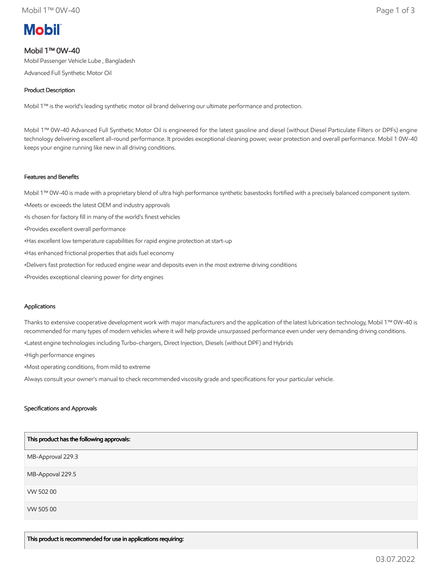# **Mobil**

## Mobil 1™ 0W-40

Mobil Passenger Vehicle Lube , Bangladesh

Advanced Full Synthetic Motor Oil

## Product Description

Mobil 1™ is the world's leading synthetic motor oil brand delivering our ultimate performance and protection.

Mobil 1™ 0W-40 Advanced Full Synthetic Motor Oil is engineered for the latest gasoline and diesel (without Diesel Particulate Filters or DPFs) engine technology delivering excellent all-round performance. It provides exceptional cleaning power, wear protection and overall performance. Mobil 1 0W-40 keeps your engine running like new in all driving conditions.

## Features and Benefits

Mobil 1™ 0W-40 is made with a proprietary blend of ultra high performance synthetic basestocks fortified with a precisely balanced component system.

- •Meets or exceeds the latest OEM and industry approvals
- •Is chosen for factory fill in many of the world's finest vehicles
- •Provides excellent overall performance
- •Has excellent low temperature capabilities for rapid engine protection at start-up
- •Has enhanced frictional properties that aids fuel economy
- •Delivers fast protection for reduced engine wear and deposits even in the most extreme driving conditions
- •Provides exceptional cleaning power for dirty engines

## Applications

Thanks to extensive cooperative development work with major manufacturers and the application of the latest lubrication technology, Mobil 1™ 0W-40 is recommended for many types of modern vehicles where it will help provide unsurpassed performance even under very demanding driving conditions.

•Latest engine technologies including Turbo-chargers, Direct Injection, Diesels (without DPF) and Hybrids

•High performance engines

•Most operating conditions, from mild to extreme

Always consult your owner's manual to check recommended viscosity grade and specifications for your particular vehicle.

## Specifications and Approvals

| This product has the following approvals: |
|-------------------------------------------|
| MB-Approval 229.3                         |
| MB-Appoval 229.5                          |
| VW 502 00                                 |
| VW 505 00                                 |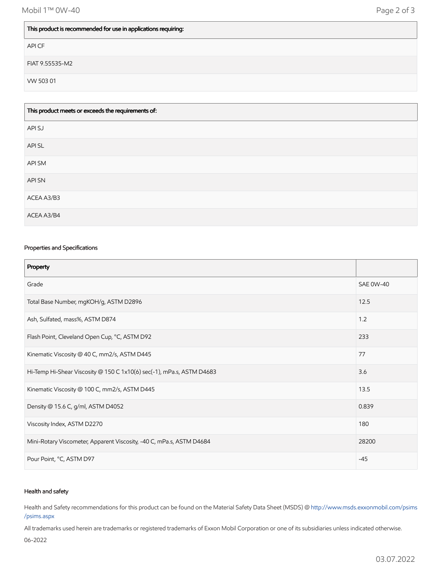## This product is recommended for use in applications requiring:

API CF

FIAT 9.55535-M2

VW 503 01

| This product meets or exceeds the requirements of: |
|----------------------------------------------------|
| API SJ                                             |
| API SL                                             |
| API SM                                             |
| API SN                                             |
| ACEA A3/B3                                         |
| ACEA A3/B4                                         |

#### Properties and Specifications

| Property                                                              |                  |
|-----------------------------------------------------------------------|------------------|
| Grade                                                                 | <b>SAE 0W-40</b> |
| Total Base Number, mgKOH/g, ASTM D2896                                | 12.5             |
| Ash, Sulfated, mass%, ASTM D874                                       | 1.2              |
| Flash Point, Cleveland Open Cup, °C, ASTM D92                         | 233              |
| Kinematic Viscosity @ 40 C, mm2/s, ASTM D445                          | 77               |
| Hi-Temp Hi-Shear Viscosity @ 150 C 1x10(6) sec(-1), mPa.s, ASTM D4683 | 3.6              |
| Kinematic Viscosity @ 100 C, mm2/s, ASTM D445                         | 13.5             |
| Density @ 15.6 C, g/ml, ASTM D4052                                    | 0.839            |
| Viscosity Index, ASTM D2270                                           | 180              |
| Mini-Rotary Viscometer, Apparent Viscosity, -40 C, mPa.s, ASTM D4684  | 28200            |
| Pour Point, °C, ASTM D97                                              | $-45$            |

#### Health and safety

Health and Safety recommendations for this product can be found on the Material Safety Data Sheet (MSDS) @ [http://www.msds.exxonmobil.com/psims](http://www.msds.exxonmobil.com/psims/psims.aspx) /psims.aspx

All trademarks used herein are trademarks or registered trademarks of Exxon Mobil Corporation or one of its subsidiaries unless indicated otherwise.

06-2022